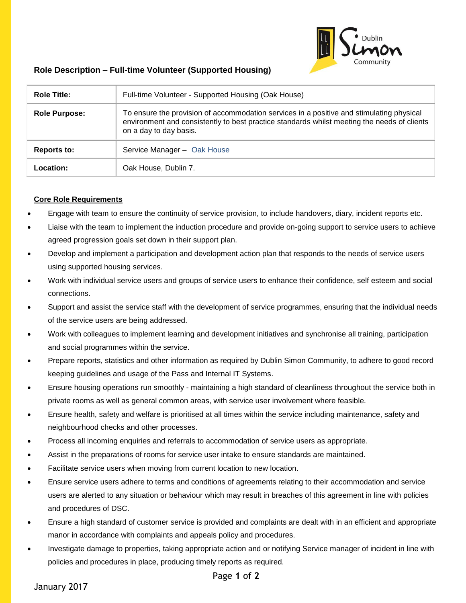

## **Role Description – Full-time Volunteer (Supported Housing)**

| <b>Role Title:</b>   | Full-time Volunteer - Supported Housing (Oak House)                                                                                                                                                               |  |
|----------------------|-------------------------------------------------------------------------------------------------------------------------------------------------------------------------------------------------------------------|--|
| <b>Role Purpose:</b> | To ensure the provision of accommodation services in a positive and stimulating physical<br>environment and consistently to best practice standards whilst meeting the needs of clients<br>on a day to day basis. |  |
| Reports to:          | Service Manager - Oak House                                                                                                                                                                                       |  |
| Location:            | Oak House, Dublin 7.                                                                                                                                                                                              |  |

## **Core Role Requirements**

- Engage with team to ensure the continuity of service provision, to include handovers, diary, incident reports etc.
- Liaise with the team to implement the induction procedure and provide on-going support to service users to achieve agreed progression goals set down in their support plan.
- Develop and implement a participation and development action plan that responds to the needs of service users using supported housing services.
- Work with individual service users and groups of service users to enhance their confidence, self esteem and social connections.
- Support and assist the service staff with the development of service programmes, ensuring that the individual needs of the service users are being addressed.
- Work with colleagues to implement learning and development initiatives and synchronise all training, participation and social programmes within the service.
- Prepare reports, statistics and other information as required by Dublin Simon Community, to adhere to good record keeping guidelines and usage of the Pass and Internal IT Systems.
- Ensure housing operations run smoothly maintaining a high standard of cleanliness throughout the service both in private rooms as well as general common areas, with service user involvement where feasible.
- Ensure health, safety and welfare is prioritised at all times within the service including maintenance, safety and neighbourhood checks and other processes.
- Process all incoming enquiries and referrals to accommodation of service users as appropriate.
- Assist in the preparations of rooms for service user intake to ensure standards are maintained.
- Facilitate service users when moving from current location to new location.
- Ensure service users adhere to terms and conditions of agreements relating to their accommodation and service users are alerted to any situation or behaviour which may result in breaches of this agreement in line with policies and procedures of DSC.
- Ensure a high standard of customer service is provided and complaints are dealt with in an efficient and appropriate manor in accordance with complaints and appeals policy and procedures.
- Investigate damage to properties, taking appropriate action and or notifying Service manager of incident in line with policies and procedures in place, producing timely reports as required.

January 2017